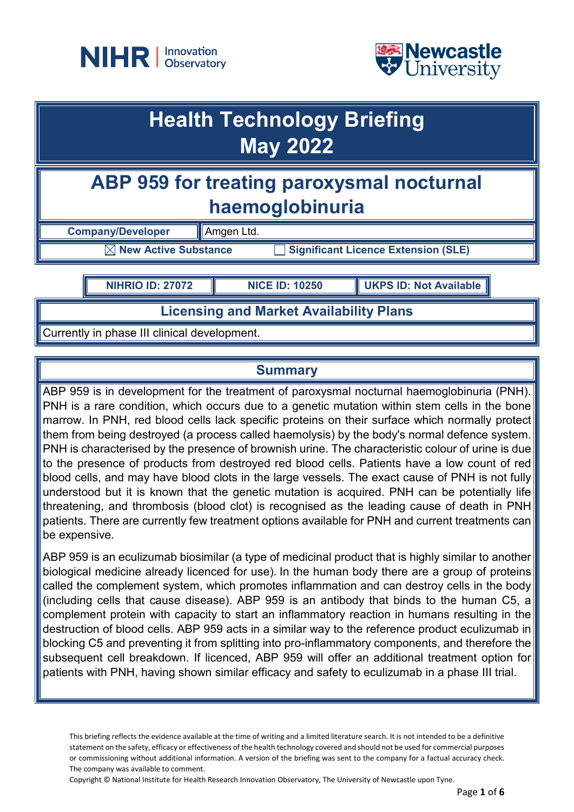



## **Health Technology Briefing May 2022**

## **ABP 959 for treating paroxysmal nocturnal haemoglobinuria**

**Company/Developer Amgen Ltd.** 

 $\boxed{\times}$  **New Active Substance Significant Licence Extension (SLE)** 

**NIHRIO ID: 27072 NICE ID: 10250 UKPS ID: Not Available**

**Licensing and Market Availability Plans**

Currently in phase III clinical development.

## **Summary**

ABP 959 is in development for the treatment of paroxysmal nocturnal haemoglobinuria (PNH). PNH is a rare condition, which occurs due to a genetic mutation within stem cells in the bone marrow. In PNH, red blood cells lack specific proteins on their surface which normally protect them from being destroyed (a process called haemolysis) by the body's normal defence system. PNH is characterised by the presence of brownish urine. The characteristic colour of urine is due to the presence of products from destroyed red blood cells. Patients have a low count of red blood cells, and may have blood clots in the large vessels. The exact cause of PNH is not fully understood but it is known that the genetic mutation is acquired. PNH can be potentially life threatening, and thrombosis (blood clot) is recognised as the leading cause of death in PNH patients. There are currently few treatment options available for PNH and current treatments can be expensive.

ABP 959 is an eculizumab biosimilar (a type of medicinal product that is highly similar to another biological medicine already licenced for use). In the human body there are a group of proteins called the complement system, which promotes inflammation and can destroy cells in the body (including cells that cause disease). ABP 959 is an antibody that binds to the human C5, a complement protein with capacity to start an inflammatory reaction in humans resulting in the destruction of blood cells. ABP 959 acts in a similar way to the reference product eculizumab in blocking C5 and preventing it from splitting into pro-inflammatory components, and therefore the subsequent cell breakdown. If licenced, ABP 959 will offer an additional treatment option for patients with PNH, having shown similar efficacy and safety to eculizumab in a phase III trial.

This briefing reflects the evidence available at the time of writing and a limited literature search. It is not intended to be a definitive statement on the safety, efficacy or effectiveness of the health technology covered and should not be used for commercial purposes or commissioning without additional information. A version of the briefing was sent to the company for a factual accuracy check. The company was available to comment.

Copyright © National Institute for Health Research Innovation Observatory, The University of Newcastle upon Tyne.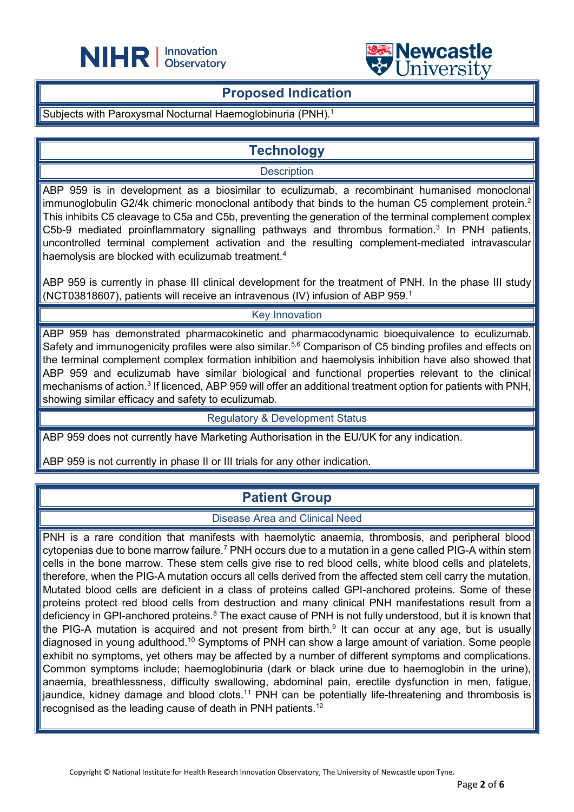



### **Proposed Indication**

L

Subjects with Paroxysmal Nocturnal Haemoglobinuria (PNH).<sup>1</sup>

## **Technology**

#### **Description**

ABP 959 is in development as a biosimilar to eculizumab, a recombinant humanised monoclonal immunoglobulin G2/4k chimeric monoclonal antibody that binds to the human C5 complement protein.<sup>2</sup> This inhibits C5 cleavage to C5a and C5b, preventing the generation of the terminal complement complex C5b-9 mediated proinflammatory signalling pathways and thrombus formation.<sup>3</sup> In PNH patients, uncontrolled terminal complement activation and the resulting complement-mediated intravascular haemolysis are blocked with eculizumab treatment.<sup>4</sup>

ABP 959 is currently in phase III clinical development for the treatment of PNH. In the phase III study (NCT03818607), patients will receive an intravenous (IV) infusion of ABP 959.1

#### Key Innovation

ABP 959 has demonstrated pharmacokinetic and pharmacodynamic bioequivalence to eculizumab. Safety and immunogenicity profiles were also similar.<sup>5,6</sup> Comparison of C5 binding profiles and effects on the terminal complement complex formation inhibition and haemolysis inhibition have also showed that ABP 959 and eculizumab have similar biological and functional properties relevant to the clinical mechanisms of action.<sup>3</sup> If licenced, ABP 959 will offer an additional treatment option for patients with PNH, showing similar efficacy and safety to eculizumab.

#### Regulatory & Development Status

ABP 959 does not currently have Marketing Authorisation in the EU/UK for any indication.

ABP 959 is not currently in phase II or III trials for any other indication.

## **Patient Group**

#### Disease Area and Clinical Need

PNH is a rare condition that manifests with haemolytic anaemia, thrombosis, and peripheral blood cytopenias due to bone marrow failure.<sup>7</sup> PNH occurs due to a mutation in a gene called PIG-A within stem cells in the bone marrow. These stem cells give rise to red blood cells, white blood cells and platelets, therefore, when the PIG-A mutation occurs all cells derived from the affected stem cell carry the mutation. Mutated blood cells are deficient in a class of proteins called GPI-anchored proteins. Some of these proteins protect red blood cells from destruction and many clinical PNH manifestations result from a deficiency in GPI-anchored proteins.<sup>8</sup> The exact cause of PNH is not fully understood, but it is known that the PIG-A mutation is acquired and not present from birth.<sup>9</sup> It can occur at any age, but is usually diagnosed in young adulthood.10 Symptoms of PNH can show a large amount of variation. Some people exhibit no symptoms, yet others may be affected by a number of different symptoms and complications. Common symptoms include; haemoglobinuria (dark or black urine due to haemoglobin in the urine), anaemia, breathlessness, difficulty swallowing, abdominal pain, erectile dysfunction in men, fatigue, jaundice, kidney damage and blood clots.<sup>11</sup> PNH can be potentially life-threatening and thrombosis is recognised as the leading cause of death in PNH patients.12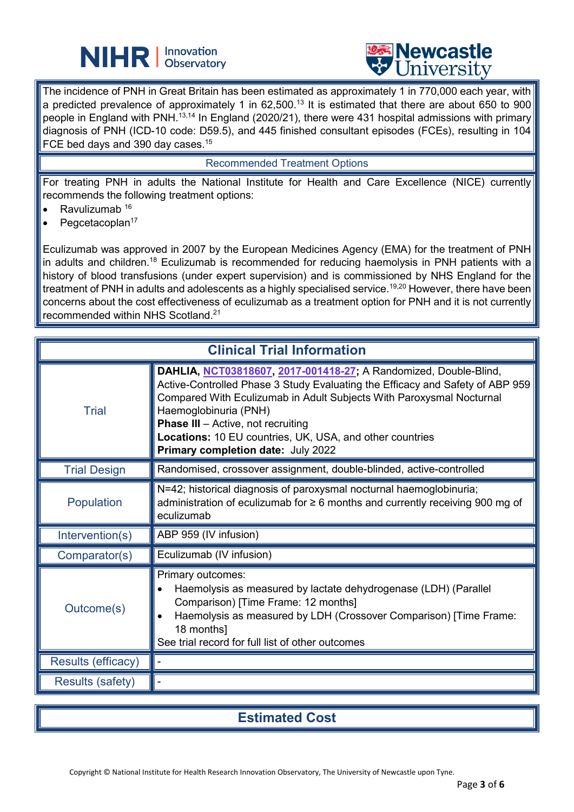# **NIHR** | Innovation



The incidence of PNH in Great Britain has been estimated as approximately 1 in 770,000 each year, with a predicted prevalence of approximately 1 in 62,500.<sup>13</sup> It is estimated that there are about 650 to 900 people in England with PNH.<sup>13,14</sup> In England (2020/21), there were 431 hospital admissions with primary diagnosis of PNH (ICD-10 code: D59.5), and 445 finished consultant episodes (FCEs), resulting in 104 FCE bed days and 390 day cases.<sup>15</sup>

L

#### Recommended Treatment Options

For treating PNH in adults the National Institute for Health and Care Excellence (NICE) currently recommends the following treatment options:

- Ravulizumab  $16$
- $\bullet$  Pegcetacoplan<sup>17</sup>

Eculizumab was approved in 2007 by the European Medicines Agency (EMA) for the treatment of PNH in adults and children.<sup>18</sup> Eculizumab is recommended for reducing haemolysis in PNH patients with a history of blood transfusions (under expert supervision) and is commissioned by NHS England for the treatment of PNH in adults and adolescents as a highly specialised service.<sup>19,20</sup> However, there have been concerns about the cost effectiveness of eculizumab as a treatment option for PNH and it is not currently recommended within NHS Scotland.21

| <b>Clinical Trial Information</b> |                                                                                                                                                                                                                                                                                                                                                                                                   |
|-----------------------------------|---------------------------------------------------------------------------------------------------------------------------------------------------------------------------------------------------------------------------------------------------------------------------------------------------------------------------------------------------------------------------------------------------|
| <b>Trial</b>                      | DAHLIA, NCT03818607, 2017-001418-27; A Randomized, Double-Blind,<br>Active-Controlled Phase 3 Study Evaluating the Efficacy and Safety of ABP 959<br>Compared With Eculizumab in Adult Subjects With Paroxysmal Nocturnal<br>Haemoglobinuria (PNH)<br><b>Phase III</b> - Active, not recruiting<br>Locations: 10 EU countries, UK, USA, and other countries<br>Primary completion date: July 2022 |
| <b>Trial Design</b>               | Randomised, crossover assignment, double-blinded, active-controlled                                                                                                                                                                                                                                                                                                                               |
| Population                        | N=42; historical diagnosis of paroxysmal nocturnal haemoglobinuria;<br>administration of eculizumab for $\geq 6$ months and currently receiving 900 mg of<br>eculizumab                                                                                                                                                                                                                           |
| Intervention(s)                   | ABP 959 (IV infusion)                                                                                                                                                                                                                                                                                                                                                                             |
| Comparator(s)                     | Eculizumab (IV infusion)                                                                                                                                                                                                                                                                                                                                                                          |
| Outcome(s)                        | Primary outcomes:<br>Haemolysis as measured by lactate dehydrogenase (LDH) (Parallel<br>Comparison) [Time Frame: 12 months]<br>Haemolysis as measured by LDH (Crossover Comparison) [Time Frame:<br>18 months]<br>See trial record for full list of other outcomes                                                                                                                                |
| <b>Results (efficacy)</b>         |                                                                                                                                                                                                                                                                                                                                                                                                   |
| <b>Results (safety)</b>           |                                                                                                                                                                                                                                                                                                                                                                                                   |

### **Estimated Cost**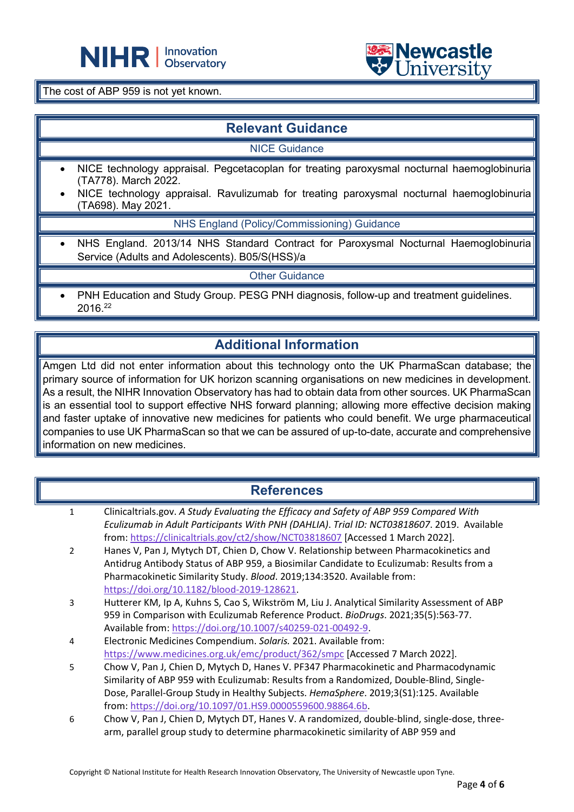



The cost of ABP 959 is not yet known.

## **Relevant Guidance**

L

NICE Guidance

- NICE technology appraisal. Pegcetacoplan for treating paroxysmal nocturnal haemoglobinuria (TA778). March 2022.
- NICE technology appraisal. Ravulizumab for treating paroxysmal nocturnal haemoglobinuria (TA698). May 2021.

NHS England (Policy/Commissioning) Guidance

• NHS England. 2013/14 NHS Standard Contract for Paroxysmal Nocturnal Haemoglobinuria Service (Adults and Adolescents). B05/S(HSS)/a

Other Guidance

• PNH Education and Study Group. PESG PNH diagnosis, follow-up and treatment guidelines. 2016.22

## **Additional Information**

Amgen Ltd did not enter information about this technology onto the UK PharmaScan database; the primary source of information for UK horizon scanning organisations on new medicines in development. As a result, the NIHR Innovation Observatory has had to obtain data from other sources. UK PharmaScan is an essential tool to support effective NHS forward planning; allowing more effective decision making and faster uptake of innovative new medicines for patients who could benefit. We urge pharmaceutical companies to use UK PharmaScan so that we can be assured of up-to-date, accurate and comprehensive information on new medicines.

## **References**

- 1 Clinicaltrials.gov. *A Study Evaluating the Efficacy and Safety of ABP 959 Compared With Eculizumab in Adult Participants With PNH (DAHLIA)*. *Trial ID: NCT03818607*. 2019. Available from:<https://clinicaltrials.gov/ct2/show/NCT03818607> [Accessed 1 March 2022].
- 2 Hanes V, Pan J, Mytych DT, Chien D, Chow V. Relationship between Pharmacokinetics and Antidrug Antibody Status of ABP 959, a Biosimilar Candidate to Eculizumab: Results from a Pharmacokinetic Similarity Study. *Blood*. 2019;134:3520. Available from: [https://doi.org/10.1182/blood-2019-128621.](https://doi.org/10.1182/blood-2019-128621)
- 3 Hutterer KM, Ip A, Kuhns S, Cao S, Wikström M, Liu J. Analytical Similarity Assessment of ABP 959 in Comparison with Eculizumab Reference Product. *BioDrugs*. 2021;35(5):563-77. Available from: [https://doi.org/10.1007/s40259-021-00492-9.](https://doi.org/10.1007/s40259-021-00492-9)
- 4 Electronic Medicines Compendium. *Solaris.* 2021. Available from: <https://www.medicines.org.uk/emc/product/362/smpc> [Accessed 7 March 2022].
- 5 Chow V, Pan J, Chien D, Mytych D, Hanes V. PF347 Pharmacokinetic and Pharmacodynamic Similarity of ABP 959 with Eculizumab: Results from a Randomized, Double-Blind, Single-Dose, Parallel-Group Study in Healthy Subjects. *HemaSphere*. 2019;3(S1):125. Available from: [https://doi.org/10.1097/01.HS9.0000559600.98864.6b.](https://doi.org/10.1097/01.HS9.0000559600.98864.6b)
- 6 Chow V, Pan J, Chien D, Mytych DT, Hanes V. A randomized, double-blind, single-dose, threearm, parallel group study to determine pharmacokinetic similarity of ABP 959 and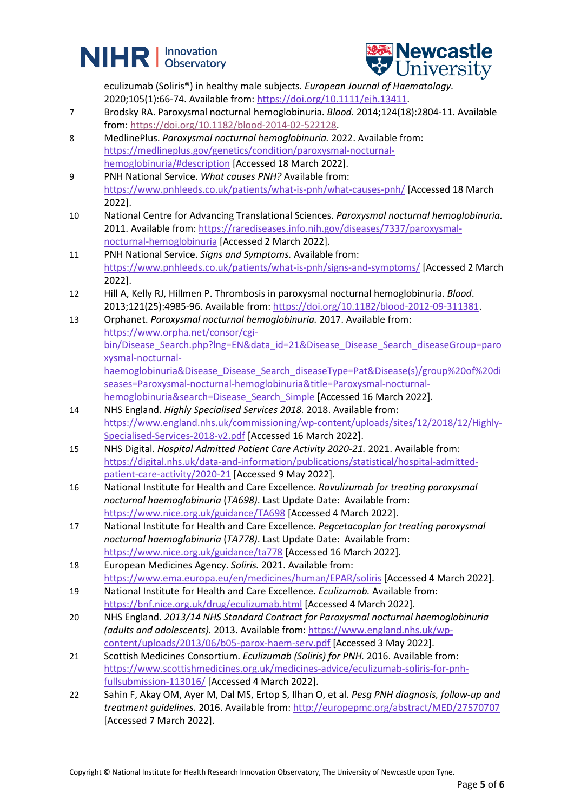# **NIHR** | Innovation



eculizumab (Soliris®) in healthy male subjects. *European Journal of Haematology*. 2020;105(1):66-74. Available from[: https://doi.org/10.1111/ejh.13411.](https://doi.org/10.1111/ejh.13411)

- 7 Brodsky RA. Paroxysmal nocturnal hemoglobinuria. *Blood*. 2014;124(18):2804-11. Available from: [https://doi.org/10.1182/blood-2014-02-522128.](https://doi.org/10.1182/blood-2014-02-522128)
- 8 MedlinePlus. *Paroxysmal nocturnal hemoglobinuria.* 2022. Available from: [https://medlineplus.gov/genetics/condition/paroxysmal-nocturnal](https://medlineplus.gov/genetics/condition/paroxysmal-nocturnal-hemoglobinuria/#description)[hemoglobinuria/#description](https://medlineplus.gov/genetics/condition/paroxysmal-nocturnal-hemoglobinuria/#description) [Accessed 18 March 2022].
- 9 PNH National Service. *What causes PNH?* Available from: <https://www.pnhleeds.co.uk/patients/what-is-pnh/what-causes-pnh/> [Accessed 18 March 2022].
- 10 National Centre for Advancing Translational Sciences. *Paroxysmal nocturnal hemoglobinuria.* 2011. Available from: [https://rarediseases.info.nih.gov/diseases/7337/paroxysmal](https://rarediseases.info.nih.gov/diseases/7337/paroxysmal-nocturnal-hemoglobinuria)[nocturnal-hemoglobinuria](https://rarediseases.info.nih.gov/diseases/7337/paroxysmal-nocturnal-hemoglobinuria) [Accessed 2 March 2022].
- 11 PNH National Service. *Signs and Symptoms.* Available from: <https://www.pnhleeds.co.uk/patients/what-is-pnh/signs-and-symptoms/> [Accessed 2 March 2022].
- 12 Hill A, Kelly RJ, Hillmen P. Thrombosis in paroxysmal nocturnal hemoglobinuria. *Blood*. 2013;121(25):4985-96. Available from: [https://doi.org/10.1182/blood-2012-09-311381.](https://doi.org/10.1182/blood-2012-09-311381)
- 13 Orphanet. *Paroxysmal nocturnal hemoglobinuria.* 2017. Available from: [https://www.orpha.net/consor/cgi](https://www.orpha.net/consor/cgi-bin/Disease_Search.php?lng=EN&data_id=21&Disease_Disease_Search_diseaseGroup=paroxysmal-nocturnal-haemoglobinuria&Disease_Disease_Search_diseaseType=Pat&Disease(s)/group%20of%20diseases=Paroxysmal-nocturnal-hemoglobinuria&title=Paroxysmal-nocturnal-hemoglobinuria&search=Disease_Search_Simple)[bin/Disease\\_Search.php?lng=EN&data\\_id=21&Disease\\_Disease\\_Search\\_diseaseGroup=paro](https://www.orpha.net/consor/cgi-bin/Disease_Search.php?lng=EN&data_id=21&Disease_Disease_Search_diseaseGroup=paroxysmal-nocturnal-haemoglobinuria&Disease_Disease_Search_diseaseType=Pat&Disease(s)/group%20of%20diseases=Paroxysmal-nocturnal-hemoglobinuria&title=Paroxysmal-nocturnal-hemoglobinuria&search=Disease_Search_Simple) [xysmal-nocturnal](https://www.orpha.net/consor/cgi-bin/Disease_Search.php?lng=EN&data_id=21&Disease_Disease_Search_diseaseGroup=paroxysmal-nocturnal-haemoglobinuria&Disease_Disease_Search_diseaseType=Pat&Disease(s)/group%20of%20diseases=Paroxysmal-nocturnal-hemoglobinuria&title=Paroxysmal-nocturnal-hemoglobinuria&search=Disease_Search_Simple)[haemoglobinuria&Disease\\_Disease\\_Search\\_diseaseType=Pat&Disease\(s\)/group%20of%20di](https://www.orpha.net/consor/cgi-bin/Disease_Search.php?lng=EN&data_id=21&Disease_Disease_Search_diseaseGroup=paroxysmal-nocturnal-haemoglobinuria&Disease_Disease_Search_diseaseType=Pat&Disease(s)/group%20of%20diseases=Paroxysmal-nocturnal-hemoglobinuria&title=Paroxysmal-nocturnal-hemoglobinuria&search=Disease_Search_Simple) [seases=Paroxysmal-nocturnal-hemoglobinuria&title=Paroxysmal-nocturnal](https://www.orpha.net/consor/cgi-bin/Disease_Search.php?lng=EN&data_id=21&Disease_Disease_Search_diseaseGroup=paroxysmal-nocturnal-haemoglobinuria&Disease_Disease_Search_diseaseType=Pat&Disease(s)/group%20of%20diseases=Paroxysmal-nocturnal-hemoglobinuria&title=Paroxysmal-nocturnal-hemoglobinuria&search=Disease_Search_Simple)[hemoglobinuria&search=Disease\\_Search\\_Simple](https://www.orpha.net/consor/cgi-bin/Disease_Search.php?lng=EN&data_id=21&Disease_Disease_Search_diseaseGroup=paroxysmal-nocturnal-haemoglobinuria&Disease_Disease_Search_diseaseType=Pat&Disease(s)/group%20of%20diseases=Paroxysmal-nocturnal-hemoglobinuria&title=Paroxysmal-nocturnal-hemoglobinuria&search=Disease_Search_Simple) [Accessed 16 March 2022].
- 14 NHS England. *Highly Specialised Services 2018.* 2018. Available from: [https://www.england.nhs.uk/commissioning/wp-content/uploads/sites/12/2018/12/Highly-](https://www.england.nhs.uk/commissioning/wp-content/uploads/sites/12/2018/12/Highly-Specialised-Services-2018-v2.pdf)[Specialised-Services-2018-v2.pdf](https://www.england.nhs.uk/commissioning/wp-content/uploads/sites/12/2018/12/Highly-Specialised-Services-2018-v2.pdf) [Accessed 16 March 2022].
- 15 NHS Digital. *Hospital Admitted Patient Care Activity 2020-21.* 2021. Available from: [https://digital.nhs.uk/data-and-information/publications/statistical/hospital-admitted](https://digital.nhs.uk/data-and-information/publications/statistical/hospital-admitted-patient-care-activity/2020-21)[patient-care-activity/2020-21](https://digital.nhs.uk/data-and-information/publications/statistical/hospital-admitted-patient-care-activity/2020-21) [Accessed 9 May 2022].
- 16 National Institute for Health and Care Excellence. *Ravulizumab for treating paroxysmal nocturnal haemoglobinuria* (*TA698)*. Last Update Date: Available from: <https://www.nice.org.uk/guidance/TA698> [Accessed 4 March 2022].
- 17 National Institute for Health and Care Excellence. *Pegcetacoplan for treating paroxysmal nocturnal haemoglobinuria* (*TA778)*. Last Update Date: Available from: <https://www.nice.org.uk/guidance/ta778> [Accessed 16 March 2022].
- 18 European Medicines Agency. *Soliris.* 2021. Available from: <https://www.ema.europa.eu/en/medicines/human/EPAR/soliris> [Accessed 4 March 2022].
- 19 National Institute for Health and Care Excellence. *Eculizumab.* Available from: <https://bnf.nice.org.uk/drug/eculizumab.html> [Accessed 4 March 2022].
- 20 NHS England. *2013/14 NHS Standard Contract for Paroxysmal nocturnal haemoglobinuria (adults and adolescents).* 2013. Available from: [https://www.england.nhs.uk/wp](https://www.england.nhs.uk/wp-content/uploads/2013/06/b05-parox-haem-serv.pdf)[content/uploads/2013/06/b05-parox-haem-serv.pdf](https://www.england.nhs.uk/wp-content/uploads/2013/06/b05-parox-haem-serv.pdf) [Accessed 3 May 2022].
- 21 Scottish Medicines Consortium. *Eculizumab (Soliris) for PNH.* 2016. Available from: [https://www.scottishmedicines.org.uk/medicines-advice/eculizumab-soliris-for-pnh](https://www.scottishmedicines.org.uk/medicines-advice/eculizumab-soliris-for-pnh-fullsubmission-113016/)[fullsubmission-113016/](https://www.scottishmedicines.org.uk/medicines-advice/eculizumab-soliris-for-pnh-fullsubmission-113016/) [Accessed 4 March 2022].
- 22 Sahin F, Akay OM, Ayer M, Dal MS, Ertop S, Ilhan O, et al. *Pesg PNH diagnosis, follow-up and treatment guidelines.* 2016. Available from:<http://europepmc.org/abstract/MED/27570707> [Accessed 7 March 2022].